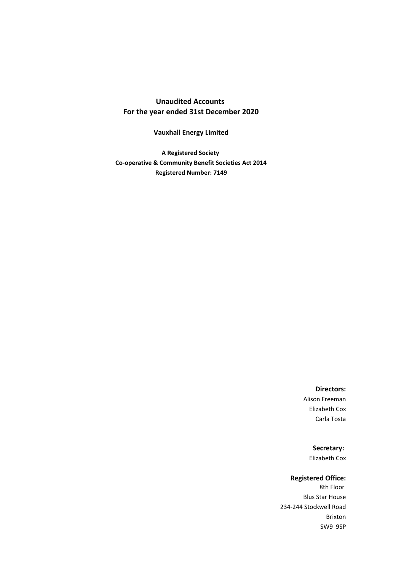## **Unaudited Accounts For the year ended 31st December 2020**

## **Vauxhall Energy Limited**

**A Registered Society Co-operative & Community Benefit Societies Act 2014 Registered Number: 7149**

### **Directors:**

Alison Freeman Elizabeth Cox Carla Tosta

> **Secretary:**  Elizabeth Cox

### **Registered Office:**

8th Floor Blus Star House 234-244 Stockwell Road Brixton SW9 9SP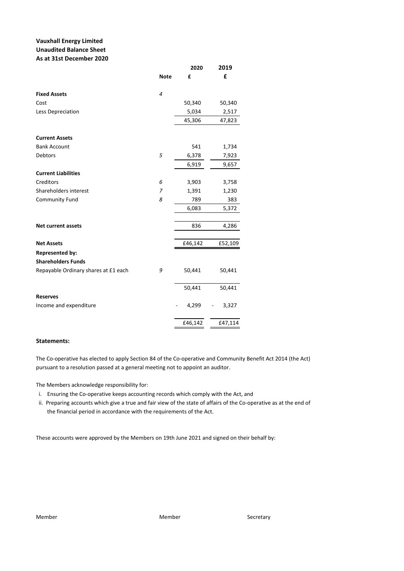### **Vauxhall Energy Limited Unaudited Balance Sheet As at 31st December 2020**

|                                      |                | 2020    | 2019    |
|--------------------------------------|----------------|---------|---------|
|                                      | <b>Note</b>    | £       | £       |
| <b>Fixed Assets</b>                  | 4              |         |         |
| Cost                                 |                | 50,340  | 50,340  |
| Less Depreciation                    |                | 5,034   | 2,517   |
|                                      |                | 45,306  | 47,823  |
| <b>Current Assets</b>                |                |         |         |
| <b>Bank Account</b>                  |                | 541     | 1,734   |
| Debtors                              | 5              | 6,378   | 7,923   |
|                                      |                | 6,919   | 9,657   |
| <b>Current Liabilities</b>           |                |         |         |
| Creditors                            | 6              | 3,903   | 3,758   |
| Shareholders interest                | $\overline{7}$ | 1,391   | 1,230   |
| Community Fund                       | 8              | 789     | 383     |
|                                      |                | 6,083   | 5,372   |
|                                      |                |         |         |
| <b>Net current assets</b>            |                | 836     | 4,286   |
| <b>Net Assets</b>                    |                | £46,142 | £52,109 |
| <b>Represented by:</b>               |                |         |         |
| <b>Shareholders Funds</b>            |                |         |         |
| Repayable Ordinary shares at £1 each | 9              | 50,441  | 50,441  |
|                                      |                | 50,441  | 50,441  |
| <b>Reserves</b>                      |                |         |         |
| Income and expenditure               |                | 4,299   | 3,327   |
|                                      |                | £46,142 | £47,114 |

### **Statements:**

The Co-operative has elected to apply Section 84 of the Co-operative and Community Benefit Act 2014 (the Act) pursuant to a resolution passed at a general meeting not to appoint an auditor.

The Members acknowledge responsibility for:

- i. Ensuring the Co-operative keeps accounting records which comply with the Act, and
- ii. Preparing accounts which give a true and fair view of the state of affairs of the Co-operative as at the end of the financial period in accordance with the requirements of the Act.

These accounts were approved by the Members on 19th June 2021 and signed on their behalf by: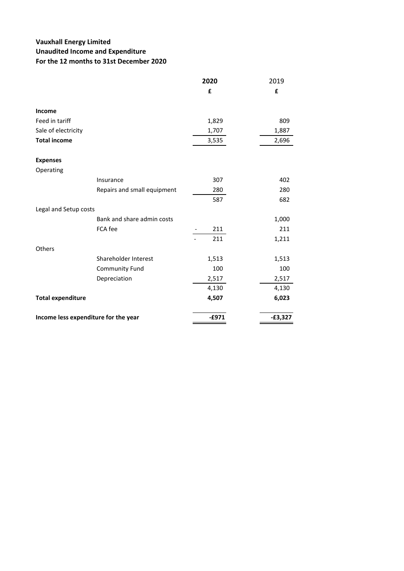# **Vauxhall Energy Limited Unaudited Income and Expenditure For the 12 months to 31st December 2020**

|                                      |                             | 2020    | 2019      |
|--------------------------------------|-----------------------------|---------|-----------|
|                                      |                             | £       | £         |
| Income                               |                             |         |           |
| Feed in tariff                       |                             | 1,829   | 809       |
| Sale of electricity                  |                             | 1,707   | 1,887     |
| <b>Total income</b>                  |                             | 3,535   | 2,696     |
| <b>Expenses</b>                      |                             |         |           |
| Operating                            |                             |         |           |
|                                      | Insurance                   | 307     | 402       |
|                                      | Repairs and small equipment | 280     | 280       |
|                                      |                             | 587     | 682       |
| Legal and Setup costs                |                             |         |           |
|                                      | Bank and share admin costs  |         | 1,000     |
|                                      | FCA fee                     | 211     | 211       |
|                                      |                             | 211     | 1,211     |
| Others                               |                             |         |           |
|                                      | Shareholder Interest        | 1,513   | 1,513     |
|                                      | <b>Community Fund</b>       | 100     | 100       |
|                                      | Depreciation                | 2,517   | 2,517     |
|                                      |                             | 4,130   | 4,130     |
| <b>Total expenditure</b>             |                             | 4,507   | 6,023     |
| Income less expenditure for the year |                             | $-£971$ | $-£3,327$ |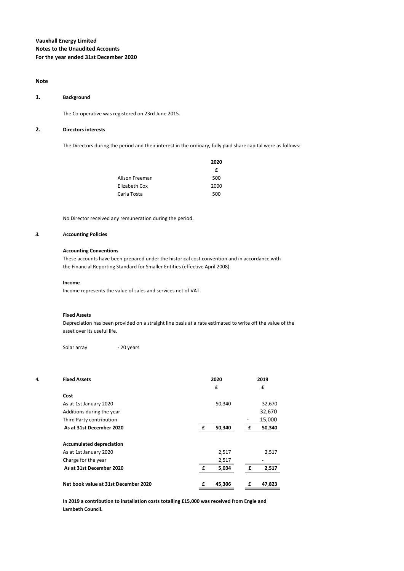#### **Note**

#### **1. Background**

The Co-operative was registered on 23rd June 2015.

#### **2. Directors interests**

The Directors during the period and their interest in the ordinary, fully paid share capital were as follows:

|                | 2020 |
|----------------|------|
|                | f    |
| Alison Freeman | 500  |
| Elizabeth Cox  | 2000 |
| Carla Tosta    | 500  |

No Director received any remuneration during the period.

### *3.* **Accounting Policies**

#### **Accounting Conventions**

These accounts have been prepared under the historical cost convention and in accordance with the Financial Reporting Standard for Smaller Entities (effective April 2008).

#### **Income**

Income represents the value of sales and services net of VAT.

#### **Fixed Assets**

Depreciation has been provided on a straight line basis at a rate estimated to write off the value of the asset over its useful life.

Solar array **- 20 years** 

| 4. | <b>Fixed Assets</b>                  | 2020        |   | 2019   |
|----|--------------------------------------|-------------|---|--------|
|    |                                      | £           |   | £      |
|    | Cost                                 |             |   |        |
|    | As at 1st January 2020               | 50,340      |   | 32,670 |
|    | Additions during the year            |             |   | 32,670 |
|    | Third Party contribution             |             |   | 15,000 |
|    | As at 31st December 2020             | 50,340<br>£ | £ | 50,340 |
|    |                                      |             |   |        |
|    | <b>Accumulated depreciation</b>      |             |   |        |
|    | As at 1st January 2020               | 2,517       |   | 2,517  |
|    | Charge for the year                  | 2,517       |   |        |
|    | As at 31st December 2020             | 5,034<br>£  | £ | 2,517  |
|    | Net book value at 31st December 2020 | £<br>45,306 | £ | 47,823 |

**In 2019 a contribution to installation costs totalling £15,000 was received from Engie and Lambeth Council.**